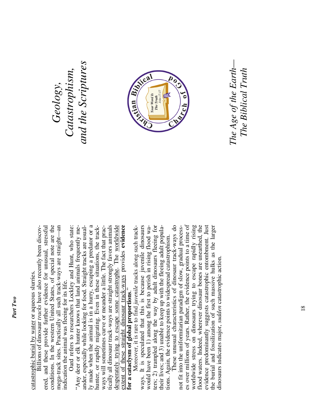catastrophic burial by water or aqueous slurries. catastrophic burial by water or aqueous slurries.

mega-track sites. Practically all such track-ways are straight—an ered, and these provide further evidence for unusual, stressful conditions. In the western United States, of special note are the Billions of dinosaur tracks have also recently been discovconditions. In the western United States, of special note are the mega-track sites. Practically all such track-ways are straight-an Billions of dinosaur *tracks* have also recently been discovand these provide further evidence for unusual, stressful indication the animal was fleeing for its life. ndication the animal was fleeing for its life. ered,

 Oard refers to researchers Lockley and Hunt, who state: ly made when the animal is in a hurry, escaping a predator or a tically all dinosaur track-ways are straight strongly favors animals desperately trying to escape some catastrophe. The worldwide extent of these straight dinosaur track-ways provides **evidence**  Oard refers to researchers Lockley and Hunt, who state: "Any deer or elk hunter knows that land animals frequently meander, especially while looking for food. Straight tracks are usualy made when the animal is in a hurry, escaping a predator or a hunter, or rapidly migrating. Even in these situations, the trackways will sometimes curve or meander a little. The fact that practically all dinosaur track-ways are straight strongly favors animals desperately trying to escape some catastrophe. The worldwide extent of these straight dinosaur track-ways provides evidence "Any deer or elk hunter knows that land animals frequently meander, especially while looking for food. Straight tracks are usualhunter, or rapidly migrating. Even in these situations, the trackways will sometimes curve or meander a little. The fact that prac**for a cataclysm of global proportions**." for a cataclysm of global proportions."

ways. It is speculated that this is because juvenile dinosaurs ters; 2) trampled along the way by adult dinosaurs fleeing for Moreover, it is rare to find juvenile tracks along such trackways. It is speculated that this is because juvenile dinosaurs would have been 1) among the first to perish in rising flood waters; 2) trampled along the way by adult dinosaurs fleeing for their lives; and 3) unable to keep up with the fleeing adult populawould have been 1) among the first to perish in rising flood watheir lives; and 3) unable to keep up with the fleeing adult populations. Again, the evidence points to widespread catastrophism. tions. Again, the evidence points to widespread catastrophism.

 These unusual characteristics of dinosaur track-ways do es over millions of years. Rather, the evidence points to a time of worldwide stress on dinosaurs trying to escape rapidly rising flood waters. Indeed, wherever dinosaur bones are unearthed, the evidence predominantly suggests catastrophic entombment. Just the burial and fossilization of such massive hulks as the larger These unusual characteristics of dinosaur track-ways do not fit into the uniformitarian paradigm of slow, gradual processes over millions of years. Rather, the evidence points to a time of worldwide stress on dinosaurs trying to escape rapidly rising flood waters. Indeed, wherever dinosaur bones are unearthed, the evidence predominantly suggests catastrophic entombment. Just the burial and fossilization of such massive hulks as the larger not fit into the uniformitarian paradigm of slow, gradual processdinosaurs indicates major, *sudden* catastrophic action. dinosaurs indicates major, sudden catastrophic action.

**Geology**,<br>Catastrophism,<br>and the Scriptures *Catastrophism, and the Scriptures* 



*The Age of the Earth—*  The Age of the Earth– *The Biblical Truth* The Biblical Truth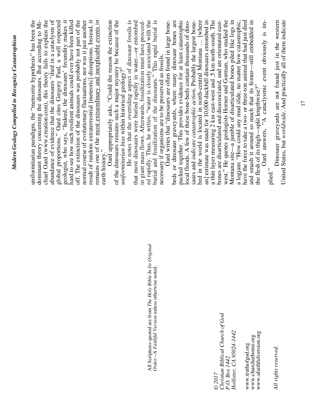|                                                               | chael Oard (www.creation.com), this theory fails to explain the<br>dominant theory concerning the dinosaurs. But according to Mi-<br>uniformitarian paradigm, the "meteorite hypothesis" has been the |
|---------------------------------------------------------------|-------------------------------------------------------------------------------------------------------------------------------------------------------------------------------------------------------|
|                                                               | abundance of evidence that the dinosaurs "died in a cataclysm of                                                                                                                                      |
|                                                               | global proportions." Oard cites Gregory Paul, a well respected<br>geologist, who says, "Indeed, the dinosaurs' fecundity makes it                                                                     |
|                                                               | hard to see how such resilient animals could ever have been killed                                                                                                                                    |
|                                                               | normal course of evolutionary fluctuations, nor was it just another<br>off. The extinction of the dinosaurs was probably not part of the                                                              |
|                                                               | result of random extraterrestrial [meteoric] disruptions. Instead, it                                                                                                                                 |
|                                                               | remains one of the most extraordinary and inexplicable events in                                                                                                                                      |
|                                                               | earth history."                                                                                                                                                                                       |
|                                                               | Oard appropriately asks, "Could the reason the extinction                                                                                                                                             |
|                                                               | of the dinosaurs remains such a major mystery be because of the                                                                                                                                       |
|                                                               | He notes that the overriding aspect of dinosaur fossils is<br>uniformitarian bias within historical geology?"                                                                                         |
|                                                               | that most dinosaurs were buried rapidly in water-or entombed                                                                                                                                          |
|                                                               | in giant mass flows. Afterwards, fossilization must have proceed-                                                                                                                                     |
| All Scriptures quoted are from The Holy Bible In Its Original | ed rapidly. Thus, he writes, "water is closely associated with the                                                                                                                                    |
| Order-A Faithful Version unless otherwise noted.              | burial and fossilization of the dinosaurs." This rapid burial is                                                                                                                                      |
|                                                               | necessary if organisms are to be preserved as fossils.                                                                                                                                                |
|                                                               | Oard writes that "dinosaurs are often found in large bone-                                                                                                                                            |
|                                                               | beds or dinosaur graveyards, where many dinosaur bones are                                                                                                                                            |
|                                                               | packed together. This provides evidence for at least catastrophic                                                                                                                                     |
|                                                               | local floods. A few of these bone-beds contain thousands of dino-                                                                                                                                     |
|                                                               | saurs and indicate catastrophic action. Probably the largest bone-                                                                                                                                    |
|                                                               | bed in the world is located in north-central Montana  [where                                                                                                                                          |
|                                                               | an] estimate was made for 10,000 duckbill dinosaurs entombed in<br>a thin layer measuring 2 km east-west and .5 km north-south. The                                                                   |
| © 2017                                                        | bones are disarticulated and disassociated, and are orientated east-                                                                                                                                  |
| Christian Biblical Church of God                              | west." He quotes geologists Horner and Gorman, who studied the                                                                                                                                        |
| P.O. Box 1442<br>Hollister, CA 95024-1442                     | Montana site-a jumble of disarticulated bones piled like logs in                                                                                                                                      |
|                                                               | a logjam: "How could any mud slide, no matter how catastrophic,                                                                                                                                       |
| www.truthofgod.org                                            | have the force to take a two- or three-ton animal that had just died                                                                                                                                  |
| www.churchathome.org                                          | and smash it around so much that its femur—still embedded in                                                                                                                                          |
| www.afaithfulversion.org                                      | the flesh of its thigh-split lengthwise?"                                                                                                                                                             |
|                                                               | Oard answers, "A cataclysmic event obviously is im-                                                                                                                                                   |
|                                                               | plied."                                                                                                                                                                                               |
| All rights reserved.                                          | United States, but worldwide, And practically all of them indicate<br>Dinosaur graveyards are not found just in the western                                                                           |
|                                                               |                                                                                                                                                                                                       |

*Modern Geology Compelled to Recognize Castastrophism* 

Modern Geology Compelled to Recognize Castastrophism

tern<br>cate Dinosaur graveyards are not found just in the western United States, but *worldwide*. And practically all of them indicate 5.  $\frac{1}{2}$ UIIIteu States, but *wortuwide*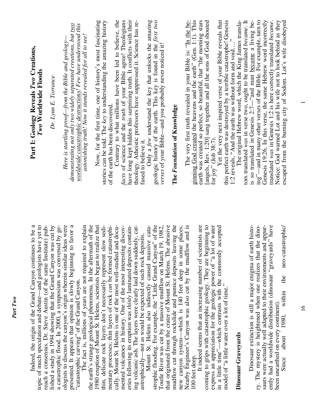| Part I: Geology Reveals Two Creations,<br>$Two$ Worldwide Floods                                                            | Dr. Lynn E. Torrance                                                                                                                | demonstrating not only two widely separated creations, but <u>two</u><br>worldwide catastrophic destructions! Few have understood this<br>astonishing truth! Now it stands revealed for all to see!<br>Here is startling proof–from the Bible and geology–                                                                   | Now, for the first time, one of history's most fascinating<br>stories can be told. The key to understanding the amazing history<br>Contrary to what millions have been led to believe, the<br>of the earth has been discovered.                                                                                                                            | have long kept hidden this surprising truth. It conflicts with their<br>facts of science and the truth of your Bible agree! Theologians<br>theology. Atheistic professors have suppressed it. Science has re-                                                                  | geologic history of the earth. This key is found in the first two<br>Only a $few$ understand the key that unlocks the amazing<br>verses of your Bible—and you probably never noticed it!<br>The Foundation of Knowledge<br>fused to believe it.                                                                                 | ginning God created the heavens and the earth" (Gen. 1:1). This<br>The very first truth revealed in your Bible is: "In the be-<br>this perfect earth was destroyed by a terrible catastrophe! Genesis<br>earth was created so perfect, so beautiful, that "the morning stars<br>Yet the very next inspired verse of your Bible reveals that<br>[angels, Rev. 1:20] sang together and all the sons of God shouted<br>for joy" (Job 38:7).                           | tors translated was in verse two, ought to be translated became. It<br>ing"—and in many other verses of the Bible. For example, turn to<br>is so translated in Genesis 2:7-"and man became a living be-<br>Genesis 19:26. In this verse, the same Hebrew word incorrectly translated was in Genesis 1:2 is here correctly translated <i>became</i> .<br>The original Hebrew word, which the King James transla-<br>Notice: God warned Lot and his wife not to look behind as they<br>escaped from the burning city of Sodom. Lot's wife disobeyed<br>$\ddot{\phantom{0}}$<br>1:2 reveals, "And the earth was without form and void |
|-----------------------------------------------------------------------------------------------------------------------------|-------------------------------------------------------------------------------------------------------------------------------------|------------------------------------------------------------------------------------------------------------------------------------------------------------------------------------------------------------------------------------------------------------------------------------------------------------------------------|------------------------------------------------------------------------------------------------------------------------------------------------------------------------------------------------------------------------------------------------------------------------------------------------------------------------------------------------------------|--------------------------------------------------------------------------------------------------------------------------------------------------------------------------------------------------------------------------------------------------------------------------------|---------------------------------------------------------------------------------------------------------------------------------------------------------------------------------------------------------------------------------------------------------------------------------------------------------------------------------|--------------------------------------------------------------------------------------------------------------------------------------------------------------------------------------------------------------------------------------------------------------------------------------------------------------------------------------------------------------------------------------------------------------------------------------------------------------------|------------------------------------------------------------------------------------------------------------------------------------------------------------------------------------------------------------------------------------------------------------------------------------------------------------------------------------------------------------------------------------------------------------------------------------------------------------------------------------------------------------------------------------------------------------------------------------------------------------------------------------|
| Indeed, the origin of the Grand Canyon continues to be a<br>topic of much speculation and debate—and geologists have yet to | lished a study in 1994 showing that the Grand Canyon was cut by<br>reach a consensus. Dr. Steve Austin (of the same Institute) pub- | ologists to discuss the canyon's origin wherein similar ideas were<br>to favor a<br>a catastrophic flood. In 2000, a symposium was convened by ge-<br>to explain<br>presented. It appears that opinion is slowly beginning<br>The fact is, millions of years are not required<br>"catastrophic carving" of the Grand Canyon. | the earth's strange geological phenomena. In the aftermath of the<br>1980 eruption of Mount St. Helens, scientists began to realize that<br>mentary processes; thin layers of rock can be formed catastrophi-<br>slow sedi-<br>cally. Mount St. Helens is one of the most well-studied and docu-<br>thin, delicate rock layers don't necessarily represent | ing volcanic ash. The layers were clearly laid down suddenly, cat-<br>mented volcanoes in history. One of the most interesting discov-<br>eries following its eruption was thinly laminated deposits contain-<br>astrophically—not as would be expected of such rock deposits. | mudflow cut through rockslide and pumice deposits leaving the<br>that originated from the crater of Mount St. Helens. The abrasive<br>strophic flooding. For example, the "Little Grand Canyon" of the<br>Toutle River was cut by a massive mudflow on March 19, 1982,<br>Mount St. Helens also indirectly caused massive cata- | express an appreciation for the geologic power of "a lot of water<br>It indeed seems that an increasing number of scientists are<br>coming to grips with catastrophic geology. They are beginning to<br>Nearby Engineer's Canyon was also cut by the mudflow and is<br>in a little time"—which contrasts with the commonly accepted<br>new canyon system—which is 140 feet deep in some places.<br>model of "a little water over a lot of time."<br>100 feet deep. | Dinosaur extinction is still a major enigma of earth histo-<br>ry. The mystery is heightened when one realizes that the dino-<br>and appar-<br>ently had a worldwide distribution (dinosaur "graveyards" have<br>saurs were actually well adapted to their environments<br>the<br>within<br>been unearthed on every continent)<br>1980,<br>Dinosaur Graveyards<br>Since                                                                                                                                                                                                                                                            |

*Part Two* 

Part Two

 $\overline{ }$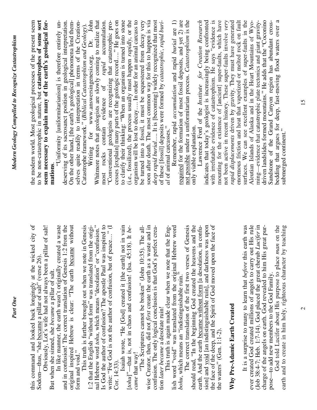| Modern Geology Compelled to Recognize Castastrophism | (i.e., fossilized), the process usually must happen rapidly, or the<br>organism will be lost to decay In order for an animal carcass to<br>soon after death. The most common way for this to happen is via<br>required for the formation of most fossil deposits, and yet 2) are<br>not possible under a uniformitarian process. Catastrophism is the<br>not been active in recent history. These super-faults involve very<br>ming—evidence that catastrophic plate tectonics and giant gravity-<br>driven landslides formed mountains." He adds that the "Coconino<br>Whitmore notes that geologists are slowly coming to realize that<br>to clarify their thinking: "When an organism is turned into stone<br>deep rapid burial It is [becoming] widely recognized that most<br>indicates that today's geologist is increasingly being confronted<br>with irrefutable evidence of catastrophism. He says "evidence is<br>mounting for the existence of [ancient] super-faults, which have<br>enormous friction and heat that vaporized or melted rock on fault<br>surfaces. We can see excellent examples of super-faults in the Aleutian Islands of Alaska and in the Heart Mountains of Wyo-<br>to be non-catastrophic in nature, but catastrophes of some sort<br>Dr. John<br>cesses [explain] many parts of the geologic record" He goes on<br>rapid displacements driven by gravity. They must have generated<br>the modern world. Most geological processes of the present seem<br>seem necessary to explain many of the earth's geological for-<br>"Uniformity [uniformitarianism] is therefore entirely un-<br>deserving of its sacrosanct position in geological interpretation.<br>On the other hand, [the earth's geological] phenomena lend them-<br>selves quite readily to interpretation in terms of the Creation-<br>be turned into a fossil, it must be sequestered from decay very<br>of these [fossil] deposits were formed by <i>catastrophic</i> , <i>rapid buri-</i><br><i>al</i> of animal carcasses."<br>Remember, rapid accumulation and rapid burial are 1)<br>Lawrence Ford of the Institute for Creation Research<br>most rocks contain evidence of <i>rapid</i> accumulation.<br>"Conventional geologists are recognizing that catastrophic pro-<br>Catastrophe framework." (Biblical Catastrophism and Geology).<br>Writing for www.answersingenesis.org,<br>only viable explanation.<br>mations<br>earth was<br>in Genesis<br>great pur- | bedding that argues for deep, fast-moving flood waters over a<br>Sandstone of the Grand Canyon region has abundant cross-<br>submerged continent."                       |
|------------------------------------------------------|----------------------------------------------------------------------------------------------------------------------------------------------------------------------------------------------------------------------------------------------------------------------------------------------------------------------------------------------------------------------------------------------------------------------------------------------------------------------------------------------------------------------------------------------------------------------------------------------------------------------------------------------------------------------------------------------------------------------------------------------------------------------------------------------------------------------------------------------------------------------------------------------------------------------------------------------------------------------------------------------------------------------------------------------------------------------------------------------------------------------------------------------------------------------------------------------------------------------------------------------------------------------------------------------------------------------------------------------------------------------------------------------------------------------------------------------------------------------------------------------------------------------------------------------------------------------------------------------------------------------------------------------------------------------------------------------------------------------------------------------------------------------------------------------------------------------------------------------------------------------------------------------------------------------------------------------------------------------------------------------------------------------------------------------------------------------------------------------------------------------------------------------------------------------------------------------------------------------------------------------------------------------------------------------------------------------------------------------------------------------------------------------------------------------------------------------------------------------------|--------------------------------------------------------------------------------------------------------------------------------------------------------------------------|
| Part One                                             | Is God the author of confusion? The apostle Paul was inspired to<br>this command and looked back longingly at the wicked city of Sodom—thus, "she became a pillar of salt" (verse 26).<br>nal Hebrew word tohu, which means "desolation" or "confusion."<br>sion] and void [an indistinguishable ruin], and darkness was upon<br>the face of the deep, and the Spirit of God moved upon the face of<br>ever created God created millions of angels to carry out His rule<br>and in confusion! The correct translation of Genesis 1:2 from the<br>original inspired Hebrew is clear: "The earth became without<br>write: "For God is not the author of confusion, but of peace" (I<br>should read, "In the beginning God created the heavens and the<br>(Job 38:4-7; Heb. 1:7-14). God placed the great cherub Lucifer in<br>1:2 that the English "without form" was translated from the origi-<br>Isaiah wrote, "He [God] created it [the earth] not in vain [tohu]"—that is, not in chaos and confusion! (Isa. 45:18). It be-<br>"The Scriptures cannot be broken" (John 10:35). The all-<br>wise Creator, then, did not <i>first</i> create the earth as a waste and in<br>The correct translation of the first two verses of Genesis<br>earth. And the earth became without form [a desolation, in confu-<br>Obviously, Lot's wife had not always been a pillar of salt!<br>In like manner, the earth wasn't originally created a waste<br>lish word "void" was translated from the original Hebrew word bohu, which means an "indistinguishable ruin."<br>confusion. The only logical conclusion is that God's perfect crea-<br>This truth is again made clear when we note that the Eng-<br>It is a surprise to many to learn that before this<br>charge of the angels on earth. God revealed to him His<br>This truth is further brought out when we note<br>But when she sinned, she became a pillar of salt.<br>Why Pre-Adamic Earth Created<br>tion later became a desolate ruin!<br>the waters" (Gen. $1:1-2$ ).<br>form and void."<br>came that way!<br>Cor. 14:33)                                                                                                                                                                                                                                                                                                                                                                                             | God told Lucifer about His purpose to place man on the<br>earth and to create in him holy, righteous character by teaching<br>pose—to add new members to the God Family. |

15

 $\mathcal{L}$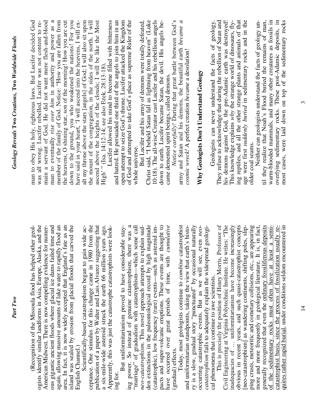| (Recognition of the Missoula flood has helped other geol-                                                                              | man to obey His holy, righteous laws. But Lucifer decided God                                                                  |
|----------------------------------------------------------------------------------------------------------------------------------------|--------------------------------------------------------------------------------------------------------------------------------|
| ogists identify similar landforms in Asia, Europe, Alaska, and the                                                                     | was all wrong. Lucifer rebelled. Lucifer was not content to re-                                                                |
| American Midwest. There is now compelling evidence for numer-                                                                          | main a servant of God. He did not want mere flesh-and-blood                                                                    |
| ous gigantic ancient floods where glacial ice dams failed time and                                                                     | man to eventually rise over him in authority and power as a                                                                    |
| again, allowing massive amounts of lake water to rapidly flood an                                                                      | member of the family of God. Notice: "How you are fallen from                                                                  |
| area. In fact, it is now widely accepted that England's fate as an                                                                     | the heavens, O shining star, son of the morning! How you are cut                                                               |
| island was sealed by erosion from glacial floods that carved the                                                                       | down to the ground, you who weakened the nations! For you have said in your heart, 'I will ascend into the heavens, I will ex- |
| English Channel.)                                                                                                                      |                                                                                                                                |
| Scientifically-based catastrophism began to gain wide ac-                                                                              | alt my throne above the stars [angels] of God; I will also sit upon                                                            |
| from the<br>ceptance. One stimulus for this change came in 1980                                                                        | the mount of the congregation, in the sides of the north. I will                                                               |
| publication of a paper by Walter and Luis Alvarez suggesting that                                                                      | ascend above the heights of the clouds; I will be like the Most High'" (Isa. 14:12-14; see also Ezek. 28:13-18).               |
| a six-mile-wide asteroid struck the earth 66 million years ago.<br>Apparently, this was just the catastrophe catastrophists were look- |                                                                                                                                |
|                                                                                                                                        | Lucifer allowed his mind to become filled with bitterness                                                                      |
| ing for.                                                                                                                               | and hatred. He persuaded one third of the angels to join him in an                                                             |
| But uniformitarianism proved to have considerable stay-                                                                                | open attempt to seize God's throne. Lucifer attacked the Kingdom                                                               |
| ing power. So instead of genuine catastrophism, there was a                                                                            | of God and attempted to take God's place as supreme Ruler of the                                                               |
| "marriage" of gradualism with catastrophism-which some call                                                                            | whole universe.                                                                                                                |
| neo-catastrophism. This novel approach attempts to explain sud-                                                                        | But Lucifer and his army of demons were totally defeated.                                                                      |
| den extinctions in the paleontological record by high magnitude                                                                        | Christ said, "I beheld Satan fall as lightning from heaven" (Luke                                                              |
|                                                                                                                                        | 10:18). The all-wise Creator cast Lucifer and his rebellious angels                                                            |
| (catastrophic), low frequency (rare) events—such as asteroid impacts and super-volcanic eruptions. These events are thought to         | down to earth. Lucifer became Satan, the devil. His angels be-                                                                 |
| have occurred over great periods of time, with cumulative                                                                              | came demented spirit beings, called demons.                                                                                    |
| (gradual) effects.                                                                                                                     | Notice carefully! During that great battle between God's                                                                       |
| Today, most geologists continue to combine catastrophist                                                                               | army and Satan and his demons, the beautiful earth became a                                                                    |
| and uniformitarian standpoints, taking the view that earth's histo-                                                                    | cosmic wreck! A perfect creation became a desolation!                                                                          |
| ry is a slow, gradual story "punctuated" by occasional naturally                                                                       |                                                                                                                                |
| occurring catastrophic events. But as we will see, even neo-                                                                           | Why Geologists Don't Understand Geology                                                                                        |
| catastrophism fails to adequately explain the widespread geologi-                                                                      |                                                                                                                                |
| cal phenomena that continue to awe scientists.                                                                                         | Geologists can never understand the facts of geology.                                                                          |
| This is precisely the position of Henry Morris, Professor of                                                                           | They refuse to acknowledge that during the rebellion of Satan and                                                              |
| Civil Engineering at Virginia Polytechnic Institute. He writes: "The                                                                   | his demons against God, the pre-Adamic earth was destroyed!                                                                    |
| inadequacies of  uniformitarianism have become increasingly                                                                            | This knowledge explains why the strange world of dinosaurs, fly-                                                               |
|                                                                                                                                        | ing reptiles, and all the other strange plants and animals of that                                                             |
| obvious in recent years, and such quasi-catastrophist concepts<br>[neo-catastrophism] as wandering continents, shifting poles, slip-   | age were first suddenly buried in sedimentary rocks and in the                                                                 |
| ping crusts, meteoritic and cometary collisions, etc., are appearing                                                                   | older coal seams.                                                                                                              |
| more and more frequently in geological literature. It is, in fact,                                                                     | Neither can geologists understand the facts of geology un-                                                                     |
| generally recognized that even the ordinary fossiliferous deposits                                                                     | til they realize that Noah's Flood buried the remains of man,                                                                  |
| a semi-<br>of the sedimentary rocks must often have at least                                                                           | warm-blooded mammals, and many other creatures as fossils in                                                                   |
| catastrophist basis, since the process of fossilization usually re-                                                                    | overlying sedimentary rocks. These post-Adamic deposits, in                                                                    |
| quires rather rapid burial, under conditions seldom encountered in                                                                     | most cases, were laid down on top of the sedimentary rocks                                                                     |
|                                                                                                                                        |                                                                                                                                |

*Part Two* 

Part Two

 $\overline{4}$ 

 $\tilde{3}$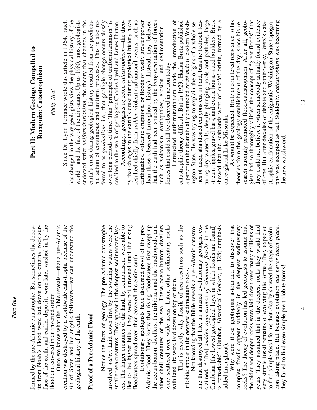| face of the earth, and earlier deposits were later washed in by the<br>its from Noah's Flood were laid down on the original rock sur-<br>formed by the pre-Adamic catastrophe. But sometimes the depos-<br>flood and covered in an inverted order. | Part II: Modern Geology Compelled to<br>Recognize Catastrophism                                                                                                                                              |
|----------------------------------------------------------------------------------------------------------------------------------------------------------------------------------------------------------------------------------------------------|--------------------------------------------------------------------------------------------------------------------------------------------------------------------------------------------------------------|
| e-Adamic<br>Once we know what the Bible reveals—that a pr                                                                                                                                                                                          | Philip Neal                                                                                                                                                                                                  |
| creation was destroyed by a worldwide catastrophe because of the<br>sin of Satan and his angelic followers-we can understand the<br>geological history of the earth.                                                                               | has changed in the way geologists view the physical history of the<br>world—and the fate of the dinosaurs. Up to 1980, most geologists<br>Since Dr. Lynn Torrance wrote this article in 1964, much           |
| Proof of a Pre-Adamic Flood                                                                                                                                                                                                                        | endorsed strict uniformitarianism, the theory that changes in the<br>earth's crust during geological history resulted from the predicta-<br>ble action of continuous and uniform processes. This is also re- |
| involved water. Laid down first by the swirling waters were the<br>Notice the facts of geology. The pre-Adamic catastrophe                                                                                                                         | ferred to as gradualism, i.e., that geologic change occurs slowly<br>over long periods of time. This "principle of uniformitarianism" is                                                                     |
| ers. The larger creatures of the land, by comparison, were able to<br>smaller sea creatures. They appear in the deepest sedimentary lay-                                                                                                           | Accordingly, geologists rejected catastrophism—the theo-<br>credited to the work of geologists Charles Lyell and James Hutton.                                                                               |
| the rising<br>flee to the higher hills. They were not drowned until<br>floodwaters spread over, then covered, the entire earth.                                                                                                                    | ry that changes in the earth's crust during geological history have<br>resulted chiefly from sudden violent and unusual events (such as                                                                      |
| Evolutionary geologists have discerned proof of this pre-                                                                                                                                                                                          | earthquakes, volcanic eruptions, or floods of vastly greater power<br>than those observed throughout history). Instead, they believed                                                                        |
| Adamic flood. They know that rising floodwaters first swept up<br>the ocean-bottom dwellers, the trilobites and the brachiopods, and                                                                                                               | that the earth had been shaped by the long-term action of forces                                                                                                                                             |
| other shell creatures of the sea. These ocean-bottom dwellers<br>ary rocks<br>were scattered over wide areas. Later, other sediment                                                                                                                | such as volcanism, earthquakes, erosion, and sedimentation-<br>forces that could still be observed in action today.                                                                                          |
| with land life were laid down on top of them.                                                                                                                                                                                                      | Entrenched uniformitarianism made the introduction of<br>catastrophic theory difficult. But in 1923, Harlan Bretz published                                                                                  |
| That is exactly why fossils of sea creatures such as the<br>trilobite appear in the <i>deepest</i> sedimentary rocks.                                                                                                                              | a paper on the dramatically channeled scablands of eastern Wash-                                                                                                                                             |
| phe that destroyed all life, an amazed evolutionary geologist ex-<br>Not knowing that the Bible reveals a pre-Adamic catastro-                                                                                                                     | ington State. He was trying to explain the origins of a whole se-<br>ries of deep, abandoned canyons cut in hard, basaltic bedrock fea-                                                                      |
| claimed, "[The] sudden appearance of abundant fossils in the                                                                                                                                                                                       | turing dry waterfalls, deeply plunging pools and potholes, large                                                                                                                                             |
| emphasis<br>Cambrian [the lowest geological layer in which fossils are found]<br>is remarkable" (Dunbar, Historical Geology, p. 125;                                                                                                               | stream ripples, gravel bars, and exotic house-sized boulders. Bretz<br>showed that the scablands were of glacial origin, formed by a                                                                         |
| added throughout).                                                                                                                                                                                                                                 | once-glacial Lake Missoula.                                                                                                                                                                                  |
| Why were these geologists astounded to discover that<br>complex fossils appear suddenly in the deepest sedimentary                                                                                                                                 | As would be expected, Bretz encountered resistance to his<br>theories from the geology establishment of the day, since his re-                                                                               |
| rocks? The theory of evolution has led geologists to assume that<br>the older and deeper rocks were laid down over many millions of                                                                                                                | gists had so thoroughly vilified the concept of "great floods" that<br>search strongly promoted flood-catastrophism. After all, geolo-                                                                       |
| years. They assumed that in the deepest rocks they would find<br>very simple fossil remains of evolving life forms. They expected                                                                                                                  | they could not believe it when somebody actually found evidence<br>of one. But after decades of debate and controversy, Bretz's cata-                                                                        |
| tion taking place. But because evolution has never taken place,<br>of evolu-<br>to find simple fossil forms that clearly showed the steps<br>they failed to find even simple pre-trilobite forms!                                                  | phy was accepted as fact. Suddenly, catastrophism was becoming<br>strophic explanation of the enigmatic Washington State topogra-<br>the new watchword.                                                      |

13

4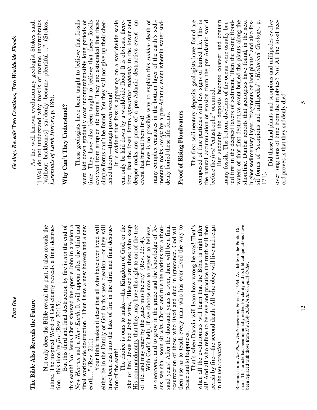| The Bible Also Reveals the Future                                                                                                                                                                                                        |                                                                                                                                                                                 |
|------------------------------------------------------------------------------------------------------------------------------------------------------------------------------------------------------------------------------------------|---------------------------------------------------------------------------------------------------------------------------------------------------------------------------------|
| Not only does the Bible reveal the past, it also reveals the                                                                                                                                                                             | As the well-known evolutionary geologist Stokes said,<br>"[We] do not understand why fossils of marine invertebrates<br>[without backbones] suddenly became plentiful" (Stokes, |
| future. The inspired Word of God clearly reveals a final destruc-                                                                                                                                                                        | Essentials of Earth History, p. 186).                                                                                                                                           |
| the end of<br>But this third and final destruction by fire is not<br>tion—this time by $\text{fire}$ (Rev. 20:15).                                                                                                                       | Why Can't They Understand?                                                                                                                                                      |
| this earth! No! Jesus Christ showed the apostle John in a vision a                                                                                                                                                                       |                                                                                                                                                                                 |
| New Heaven and a New Earth. It will appear after the third and                                                                                                                                                                           | These geologists have been taught to believe that fossils                                                                                                                       |
| and a new<br>final worldwide destruction. "Then I saw a new heaven<br>earth" (Rev. 21:1).                                                                                                                                                | were laid down gradually over incomprehensibly long periods of                                                                                                                  |
| Your Bible makes it clear that all who have ever lived will                                                                                                                                                                              | time. They have also been taught to believe that these fossils<br>evolved from simpler life forms. They are astounded that these                                                |
| either be in the Family of God in this new creation—or they will                                                                                                                                                                         | simple forms can't be found. Yet they will not give up their cher-                                                                                                              |
| have been cast into the lake of fire in the third and final destruc-<br>tion of the earth!                                                                                                                                               | It is evident that fossils appearing on a worldwide scale<br>ished theory—though proven wrong!                                                                                  |
| The choice is ours to make—the Kingdom of God, or the                                                                                                                                                                                    | can only be laid down by a worldwide flood. It is obvious, there-                                                                                                               |
| lake of fire! Jesus had John write, "Blessed are those who keep                                                                                                                                                                          | fore, that the fossil forms appearing suddenly in the lower and                                                                                                                 |
| His commandments, that they may have the right to eat of the tree                                                                                                                                                                        | deeper rocks are proof of a pre-Adamic destructive event—an                                                                                                                     |
| of life, and may enter by the gates into the city" (Rev. 22:14).                                                                                                                                                                         | event that buried them first!                                                                                                                                                   |
| With God's help, if we choose now to repent, to believe,                                                                                                                                                                                 | There is no possible way to explain this sudden death of                                                                                                                        |
| to overcome, and to grow in the grace and the knowledge of Je-                                                                                                                                                                           | many complex creatures in the bottom layer of the earth's sedi-                                                                                                                 |
| sus, we shall soon sit with Christ and rule the nations for a thou-                                                                                                                                                                      | mentary rocks except by a pre-Adamic event wherein water sud-                                                                                                                   |
| sand years! After the thousand years is over, there will be a final<br>resurrection of those who lived and died in ignorance. God will                                                                                                   | denly buried these life forms.                                                                                                                                                  |
| then use us to teach every man who has ever lived the way to                                                                                                                                                                             | <b>Proof of Rising Floodwaters</b>                                                                                                                                              |
| peace and to happiness.                                                                                                                                                                                                                  |                                                                                                                                                                                 |
| That's when Darwin will learn how wrong he was! That's                                                                                                                                                                                   | The first sedimentary deposits geologists have found are                                                                                                                        |
| right after<br>when all the evolutionists will learn that the Bible is                                                                                                                                                                   | composed of fine particles with few signs of buried life. This is                                                                                                               |
| all! And all who refuse to believe and practice the truth will then                                                                                                                                                                      | the natural accumulation of erosion from the pre-Adamic world                                                                                                                   |
| perish by fire—the second death. All who obey will live and reign                                                                                                                                                                        | before the <i>first</i> "catastrophe" occurred.                                                                                                                                 |
| in the new creation.                                                                                                                                                                                                                     | But suddenly the deposits become coarser and contain                                                                                                                            |
|                                                                                                                                                                                                                                          | ied first in the deepest layers of sediment. Then the rising flood-<br>many fossils. The bottom-dwellers of the ocean were usually bur-                                         |
|                                                                                                                                                                                                                                          | waters of that first destructive event buried the plants along the                                                                                                              |
| Reprinted from <i>The Plain Truth</i> magazine, February 1964. Available in the Public Domain. This article has been minimally edited for clarity and its biblical quotations have been replaced with those from <i>The Holy Bible I</i> | shoreline. Dunbar reports that geologists have found, in the next                                                                                                               |
|                                                                                                                                                                                                                                          | higher sedimentary layer, "fragments of land plants" and also fos-                                                                                                              |
|                                                                                                                                                                                                                                          | sil forms of "scorpions and millipedes" (Historical Geology, p.<br>171).                                                                                                        |
|                                                                                                                                                                                                                                          | Did these land plants and scorpions and millipedes evolve                                                                                                                       |
|                                                                                                                                                                                                                                          | over long eons of time from the trilobites? No! All the fossil rec-                                                                                                             |
|                                                                                                                                                                                                                                          | ord proves is that they suddenly died!                                                                                                                                          |

Part One

*Geology Reveals* **Two** *Creations,* **Two** *Worldwide Floods* 

Geology Reveals Two Creations, Two Worldwide Floods

 $\mathcal{L}$ 

12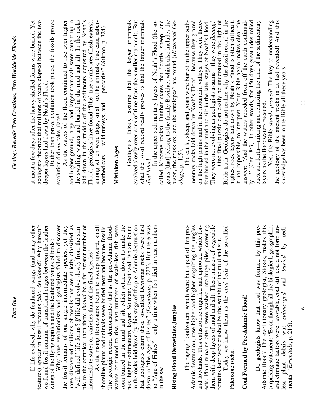| If life evolved, why do feathered wings (and many other                                                                                   | at most a few days after the heavy-shelled forms were buried. Yet                                                                             |
|-------------------------------------------------------------------------------------------------------------------------------------------|-----------------------------------------------------------------------------------------------------------------------------------------------|
| features) appear in fossil remains fully developed? Why haven't                                                                           | geologists theorize that millions of years elapsed between the two                                                                            |
| the leather<br>wings of the flying reptiles and the feathered wings of birds?<br>we found fossil remains of transitional stages between   | Rather than prove evolution took place, the fossils prove<br>deeper layers laid down by Noah's Flood.                                         |
| Why have evolutionists and geologists failed to discover                                                                                  | evolution did not take place!                                                                                                                 |
| the fossil remains of one single intermediate species, yet they                                                                           | As the waters of the flood continued to rise over higher                                                                                      |
| have discovered millions of fossils that are strictly classified as                                                                       | and higher ground, larger and larger mammals were caught up in                                                                                |
| number of<br>"well-defined" life forms? If life did evolve slowly from the sim-<br>ple to the complex, then there should be a far greater | the swirling waters and buried in the mud and silt. In the rocks<br>laid down in the middle of the sediments deposited by Noah's              |
| intermediate states or varieties than of the fixed species!                                                                               | Flood, geologists have found "[the] true carnivores (flesh eaters),                                                                           |
| As the rising floodwaters began to sweep upward, small                                                                                    | among which were dogs, small foxlike animals, true cats, saber-                                                                               |
| The geologic record demonstrates that as the pre-Adamic flood-<br>shoreline plants and animals were buried next and became fossils.       | toothed cats  wild turkeys, and  peccaries" (Stirton, p. 324).                                                                                |
| waters continued to rise, vast numbers of scale-less fish were                                                                            | Mistaken Ages                                                                                                                                 |
| soon buried in the mud and silt which settled down to make the                                                                            |                                                                                                                                               |
| are found<br>next higher sedimentary layers. So many fossilized fish                                                                      | Geologists falsely assume that the larger mammals                                                                                             |
| in the rocks laid down by this stage of the pre-Adamic destruction<br>that geologists claim these so-called Devonian rocks were laid      | evolved slowly over eons of time from the smaller mammals. But<br>what the fossil record really proves is that the larger mammals             |
| there was<br>down in "the Age of Fishes" (Essentials, p. 227). But                                                                        | died later!                                                                                                                                   |
| no "Age of Fishes"—only a time when fish died in vast numbers                                                                             | In the upper sedimentary layers of Noah's Flood (the so-                                                                                      |
| in the sea.                                                                                                                               | called Miocene rocks), Dunbar states that "cattle, sheep, and                                                                                 |
| Rising Flood Devastates Jungles                                                                                                           | goats [that] belong to the family Bovidae, which also includes the<br>bison, the musk ox, and the antelopes" are found (Historical Ge-        |
|                                                                                                                                           | $ology$ , p. 415).                                                                                                                            |
| The raging floodwaters, which were but a part of this pre-                                                                                | The cattle, sheep, and goats were buried in the upper sedi-                                                                                   |
| the jungles<br>Adamic destruction, rose higher and higher, engulfing                                                                      | mentary rocks laid down by Noah's Flood-because they grazed                                                                                   |
| whole for-<br>and lowlands. This catastrophe engulfed and uprooted                                                                        | on the high plains and in the mountain valleys. They were there-                                                                              |
| ests. Plant remains often were washed into huge piles, covering<br>them with deep layers of mud and silt. These masses of vegetable       | fore buried in the mud and silt in the later stages of Noah's Flood.<br>They were not evolving as geologists assume—they were <i>fleeing!</i> |
| remains later were crushed by the weight of the mud and silt.                                                                             | One final puzzle can easily be understood in the light of                                                                                     |
| so-called<br>Today we know them as the coal beds of the                                                                                   | Bible truth. Geologists do not realize why the fossil record in the                                                                           |
| Paleozoic rocks.                                                                                                                          |                                                                                                                                               |
|                                                                                                                                           | highest rock layers laid down by Noah's Flood is often difficult, if not impossible, to interpret. Your Bible again makes clear the           |
| Coal Formed by Pre-Adamic Flood!                                                                                                          | answer: "And the waters receded from off the earth continual-                                                                                 |
|                                                                                                                                           | ly" (Gen. 8:3). In other words, for 150 days great tides rolled                                                                               |
| Do geologists know that coal was formed by this pre-                                                                                      | back and forth—mixing and remixing the mud of the sedimentary<br>layers as the floodwaters receded.                                           |
| Adamic flood? The evolutionary geologist, Stokes, makes this surprising statement: "Even though all the biological, geographic,           | Yes, the Bible stands proved! The key to understanding                                                                                        |
| and climatic factors were favorable, coal still could not form un-                                                                        | the geology of the ancient rocks is at last revealed! And this                                                                                |
| by sedi-<br>and <i>buried</i><br>submerged<br>ments <sup>5</sup> (Essentials, p. 216)<br>was<br>plant debris                              | knowledge has been in the Bible all these years!                                                                                              |
|                                                                                                                                           |                                                                                                                                               |

Part One

Geology Reveals Two Creations, Two Worldwide Floods *Geology Reveals* **Two** *Creations,* **Two** *Worldwide Floods* 

11

 $\circ$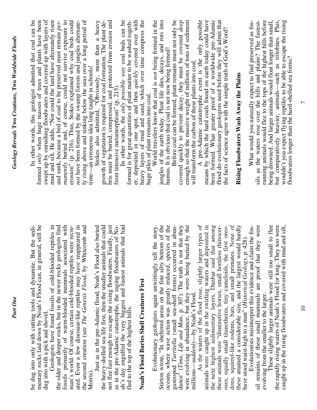| be dug into only with cutting tools and dynamite. But the sedi-                                                                         | In other words, this geologist admitted that coal can be                                                                                    |
|-----------------------------------------------------------------------------------------------------------------------------------------|---------------------------------------------------------------------------------------------------------------------------------------------|
| mentary rocks laid down by Noah's Flood can, in general, still be                                                                       | formed only when huge masses of trees and plants have been                                                                                  |
| reptiles in<br>Geologists have found fossils of cold-blooded<br>dug into with a pick and shovel.                                        | swept up by onrushing floodwaters and covered up with layers of mud and silt. He adds, "Nor could the land have alternately risen           |
| the older and deeper rocks, but in the newer rocks geologists find                                                                      | and sunk, because a bed of coal to be preserved must remain per-                                                                            |
| fossils primarily of warm-blooded mammals associated with                                                                               | manently buried and, of course, could not survive exposure to                                                                               |
| man's world. Of course, certain cold-blooded reptiles were recre-<br>ated. Even a few dinosaur-like reptiles may have reappeared in     | erosion" (p. 216). Thus, Stokes explained why coal beds could<br>not have been formed by the swamp forests and jungles alternate-           |
| the second creation (see The Genesis Flood, by Whitcomb and                                                                             | ly rising above and sinking below the seas over a long period of                                                                            |
| Morris <sup>®</sup>                                                                                                                     | time—an erroneous idea long taught in schools!<br>Stokes also admitted, "Obviously, more than a heavy                                       |
| Just as in the pre-Adamic flood, Noah's Flood also buried                                                                               |                                                                                                                                             |
| the heavy-shelled sea life first, then the smaller animals that could                                                                   | bris must be buried, compressed, and protected from erosion and<br>growth of vegetation is required for coal formation. The plant de-       |
| not flee fast enough to escape the rising floodwaters. Finally, just<br>as in the pre-Adamic catastrophe, the raging floodwaters of No- | from intensive metamorphism" $(p. 215)$                                                                                                     |
| ah's day engulfed the very biggest and fastest animals that had                                                                         | In other words, the only possible way coal beds can be                                                                                      |
| fled to the top of the highest hills.                                                                                                   | formed is for great quantities of plant matter to be washed togeth-<br>er, deposited in one spot, and then <i>quickly</i> covered over with |
| Noah's Flood Buries Shell Creatures First                                                                                               | heavy layers of mud and sand, which over time compress the                                                                                  |
|                                                                                                                                         | huge piles of plant remains into coal.                                                                                                      |
| the story.<br>Evolutionary geologists again unwittingly tell                                                                            | World travelers know that coal is not being formed in the                                                                                   |
| Stirton wrote, "In sheltered areas on the fine silty bottom of the                                                                      | jungles of the earth today. Plant life dies, decays, and rots into                                                                          |
| oceans, where wave action was greatly reduced, species of the                                                                           | humus. It is obvious that coal is not now being formed!                                                                                     |
| in abun-<br>gastropod Turritella (small sea-shell forms) occurred                                                                       | Before coal can be formed, plant remains must not only be                                                                                   |
| dance" (Time, Life and Man, p. 307). The truth is not that they                                                                         | covered quickly to prevent decay, they must be covered <i>deep</i>                                                                          |
| ed by the<br>were evolving in abundance, but they were being buri                                                                       | enough so that the massive weight of millions of tons of sediment<br>will transform the carbon of these plants into coal.                   |
| millions—suddenly—by Noah's Flood.                                                                                                      |                                                                                                                                             |
| As the waters of the flood rose, slightly larger types of<br>animals were caught up in the swirling waters and deposited in             | means by which the hard coals found on earth today could have<br>A pre-Adamic catastrophic event is the only possible                       |
| the next highest sedimentary layers. Dunbar said that among                                                                             | been formed. What greater proof of a worldwide pre-Adamic                                                                                   |
| these animals were "diminutive horses, small hornless rhinocer-                                                                         |                                                                                                                                             |
| oses, equally small titanotheres, tiny cameloids, the first oreo-                                                                       | flood do evolutionary geologists need before they will admit that<br>the facts of science agree with the simple truth of God's Word?        |
| dons, squirrel-like rodents, bats, and small primates. None of                                                                          |                                                                                                                                             |
| these attained a considerable size, and the largest would hardly<br>$-428$ .<br>have stood waist-high to a man" (Historical Geology, p. | Rising Floodwaters Wash Away the Plains                                                                                                     |
| Evolutionists misinterpret this evidence and claim the fos-                                                                             | What would you naturally expect to find preserved as fos-                                                                                   |
| they were<br>sil remains of these small mammals are proof that                                                                          | sils as the waters rose over the hills and plains? The fastest-                                                                             |
| evolving from the smaller to the larger.                                                                                                | running animals would flee to the tops of the highest hills before                                                                          |
| These slightly larger animals were still too small to flee<br>the rapidly rising waters of Noah's Flood for long. They too were         | being drowned. And larger animals would float longer than small,                                                                            |
| caught up in the rising floodwaters and covered with mud and silt,                                                                      | but comparatively heavier, animals-such as trilobites. Plus,<br>wouldn't you expect flying reptiles to be able to escape the rising         |
|                                                                                                                                         | floodwaters longer than the hard-shelled sea forms?                                                                                         |

Part One

10

 $\overline{7}$